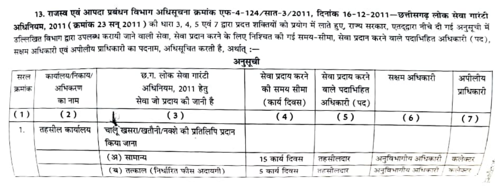13. राजस्व एवं आपदा प्रबंधन विभाग अधिसूचना क्रमांक एफ-4-124/सात-3/2011, दिनांक 16-12-2011—छत्तीसगढ लोक सेवा गारंटी अधिनियम, 2011 (क्रमांक 23 सन् 2011 ) की धारा 3, 4, 5 एवं 7 द्वारा प्रदत्त शक्तियों को प्रयोग में लाते हुए, राज्य सरकार, एतदद्वारा नीचे दी गई अनुसूची में उल्लिखित विभाग द्वारा उपलब्ध करायी जाने वाली सेवा, सेवा प्रदान करने के लिए निश्चित को गई समय-सीमा, सेवा प्रदान करने वाले पदाभिहित अधिकारी (पद). सक्षम अधिकारी एवं अपीलीय प्राधिकारी का पदनाम, अधिसूचित करती है, अर्थात :-

अनुसूची

| सरल     | कार्यालय/निकाय/ | छ.ग. लोक सेवा गारंटी                                     | सेवा प्रदाय करने | सेवा प्रदाय करने | सक्षम अधिकारी      | अपीलीय     |
|---------|-----------------|----------------------------------------------------------|------------------|------------------|--------------------|------------|
| क्रमांक | अभिकरण          | अधिनियम, 2011 हेतु                                       | को समय सीमा      | वाले पदाभिहित    |                    | प्राधिकारी |
|         | का नाम          | सेवा जो प्रदाय की जानी है                                | (कार्य दिवस)     | अधिकारी (पद)     |                    |            |
| (1)     | (2)             | $\left(3\right)$                                         | (4)              | (5)              | (6)                | (7)        |
|         | तहसील कार्यालय  | चार्लू खसरा/खतौनी/नक्शे की प्रतिलिपि प्रदान<br>किया जाना |                  |                  |                    |            |
|         |                 | (अ) सामान्य                                              | 15 कार्य दिवस    | तहसीलदार         | अनुविभागीय अधिकारी | कलेक्टर    |
|         |                 | (ब) तत्काल (निर्धारित फौस अदायगी)                        | 5 कार्य दिवस     | तहसीलदार         | अनुविभागीय अधिकारी | कसंदरर     |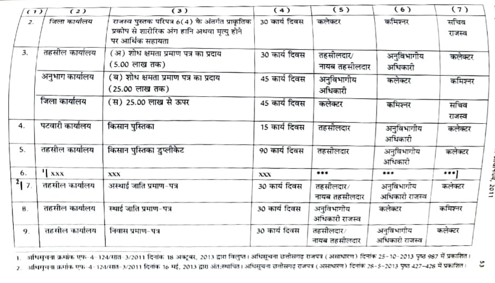| (1)              | (2)             | (3)                                                                                                                | (4)           | (5)                          | (6)                          | (7)            |
|------------------|-----------------|--------------------------------------------------------------------------------------------------------------------|---------------|------------------------------|------------------------------|----------------|
| $\overline{z}$ . | जिला कार्यालय   | राजस्व पुस्तक परिपत्र 6(4) के अंतर्गत प्राकृतिक<br>प्रकोप से शारीरिक अंग हानि अथवा मृत्यु होने<br>पर आर्थिक सहायता | 30 कार्य दिवस | कलेक्टर                      | कमिश्नर                      | सचिव<br>राजस्व |
| 3.               | तहसील कार्यालय  | ( अं ) शोध क्षमता प्रमाण पत्र का प्रदाय<br>(5.00 लाख तक)                                                           | 30 कार्य दिवस | तहसीलदार∕<br>नायब तहसीलदार   | अनुविभागीय<br>अधिकारी        | कलेक्टर        |
|                  | अनुभाग कार्यालय | ( ब ) शोध क्षमता प्रमाण पत्र का प्रदाय<br>( 25.00 लाख तक)                                                          | 45 कार्य दिवस | अनुविभागीय<br>अधिकारी        | कलेक्टर                      | कमिश्नर        |
|                  | जिला कार्यालय   | (स) 25.00 लाख से ऊपर                                                                                               | 45 कार्य दिवस | कलेक्टर                      | कमिश्नर                      | सचिव<br>राजस्व |
| 4.               | पटवारी कार्यालय | किसान पुस्तिका                                                                                                     | 15 कार्य दिवस | तहसीलदार                     | अनुविभागीय<br>अधिकारी        | कलेक्टर        |
| 5.               | तहसील कार्यालय  | किसान पुस्तिका डुप्लीकेट                                                                                           | 90 कार्य दिवस | तहसीलदार                     | अनुविभागीय<br>अधिकारी        | कलेक्टर        |
| 6.               | 'I xxx          | <b>XXX</b>                                                                                                         | xxx           |                              |                              | $\cdots$       |
| $^{2}$   7.      | तहसील कार्यालय  | अस्थाई जाति प्रमाण-पत्र                                                                                            | 30 कार्य दिवस | तहसीलदार/<br>नायब तहसीलदार   | अनुविभागीय<br>अधिकारी राजस्व | कलेक्टर        |
| 8.               | तहसील कार्यालय  | स्थाई जाति प्रमाण-पत्र                                                                                             | 30 कार्य दिवस | अनुविभागीय<br>अधिकारी राजस्व | कलेक्टर                      | कमिश्नर        |
| 9.               | तहसील कार्यालय  | निवास प्रमाण-पत्र                                                                                                  | 30 कार्य दिवस | तहसीलदार/<br>नायब तहसीलदार   | अनुविभागीय<br>अधिकारी राजस्व | कलेक्टर        |

1. अधिसूचना क्रमांक एफ-4-124/सात-3/2011 दिनांक 18 अक्टूबर, 2013 द्वारा विलुप्त। अधिसूचना छत्तीसगढ़ राजपत्र (असाधारण) दिनांक 25-10-2013 पृष्ठ 987 में प्रकाशित।

2. अधिगुवना क्रमांक एफ-4-124/सत-3/2011 दिनांक 16 मई, 2013 द्वारा अंत:स्थापित। अधिसूचना छत्तीसगढ़ राजपत्र (असाधारण) दिनांक 28-5-2013 पृष्ठ 427-428 में प्रकाशित।

1102 1

S,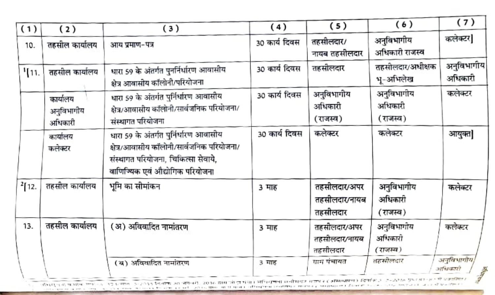| (1)         | (2)                               | (3)                                                                                                                                                           | (4)           | (5)                                       | (6)                               | (7)                                            |
|-------------|-----------------------------------|---------------------------------------------------------------------------------------------------------------------------------------------------------------|---------------|-------------------------------------------|-----------------------------------|------------------------------------------------|
| 10.         | तहसील कार्यालय                    | आय प्रमाण-पत्र                                                                                                                                                | 30 कार्य दिवस | तहसीलदार/<br>नायब तहसीलदार                | अनुविभागीय<br>अधिकारी राजस्व      | कलेक्टर]                                       |
| 111.        | तहसील कार्यालय                    | धारा 59 के अंतर्गत पुनर्निर्धारण आवासीय<br>क्षेत्र आवासीय कॉलोनी/परियोजना                                                                                     | 30 कार्य दिवस | तहसीलदार                                  | तहसीलदार/अधीक्षक<br>भू-अभिलेख     | अनुविभागीय<br>अधिकारी                          |
|             | कार्यालय<br>अनुविभागीय<br>अधिकारी | धारा 59 के अंतर्गत पुर्निर्धारण आवासीय<br>क्षेत्र/आवासीय कॉलोनी/सार्वजनिक परियोजना/<br>संस्थागत परियोजना                                                      | 30 कार्य दिवस | अनुविभागीय<br>अधिकारी<br>(राजस्व)         | अनुविभागीय<br>अधिकारी<br>(राजस्व) | कलेक्टर                                        |
|             | कार्यालय<br>कलेक्टर               | धारा 59 के अंतर्गत पुर्निर्धारण आवासीय<br>क्षेत्र/आवासीय कॉलोनी/सार्वजनिक परियोजना/<br>संस्थागत परियोजना, चिकित्सा सेवाये,<br>वाणिज्यिक एवं औद्योगिक परियोजना | 30 कार्य दिवस | कलेक्टर                                   | कलेक्टर                           | आयुक्त]                                        |
| $^{2}[12.]$ | तहसील कार्यालय                    | भूमि का सीमांकन                                                                                                                                               | 3 माह         | तहसीलदार∕अपर<br>तहसीलदार∕नायब<br>तहसीलदार | अनुविभागीय<br>अधिकारी<br>(राजस्व) | कलेक्टर                                        |
| 13.         | तहसील कार्यालय                    | (अ) अविवादित नामांतरण                                                                                                                                         | 3 माह         | तहसीलदार/अपर<br>तहसीलदार∕नायब<br>तहसीलदार | अनुविभागीय<br>अधिकारी<br>(राजस्व) | कलेक्टर                                        |
|             |                                   | (य) अविवादित नामांतरण<br>न्तुका का जनको उद्यम लेखनीला में यो भाषितकार सनीमगत गतापत्र (अम्माधारण) विवेकि ३ ।३-३३ छ। पुनः छन् ने प्रकाशित                       | ३ माह         | ग्राम पंचायत                              | तहसीलदार                          | अनुविभागीय)<br>अधिकारी<br>$\frac{1}{\sigma^2}$ |

ו השתמשי להיא היה את המינויות המונחים במונחים ומוכרות והם מוכן המונחים להיותר מהואר בנוגע במונחים של היו משתמש<br>בכתובת היה בנוגע להיותר מינוי המונחים במונחים מונחים במונח מונח מוכן במינוי היה במונח מונח מונח היה מינוי המונ  $\mathcal{N}_{\rm eff}$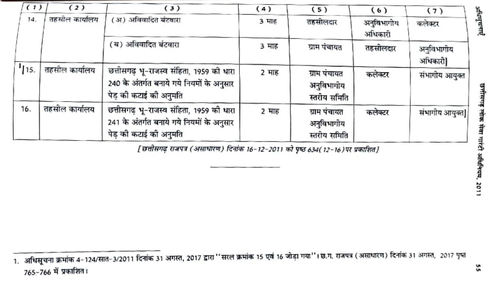| (1)  | (2)            | (3)                                                                                                             | (4)   | (5)                                        | (6)                   | (7)                   |              |
|------|----------------|-----------------------------------------------------------------------------------------------------------------|-------|--------------------------------------------|-----------------------|-----------------------|--------------|
| 14.  | तहसील कार्यालय | ( अ ) अविवादित बंटवारा                                                                                          | 3 माह | तहसीलदार                                   | अनुविभागीय<br>अधिकारी | कलेक्टर               | अधिस्वत्राएँ |
|      |                | 'ब) अविवादित बंटवारा                                                                                            | 3 माह | ग्राम पंचायत                               | तहसीलदार              | अनुविभागोय<br>अधिकारी |              |
| 113. | तहसील कार्यालय | छत्तीसगढ़ भू-राजस्व संहिता, 1959 को धारा<br>240 के अंतर्गत बनाये गये नियमों के अनुसार<br>पेड़ की कटाई की अनुमति | 2 माह | ग्राम पंचायत<br>अनुविभागीय<br>स्तरीय समिति | कलेक्टर               | संभागीय आयुक्त        |              |
| 16.  | तहसील कार्यालय | छत्तीसगढ़ भू-राजस्व संहिता, 1959 को धारा<br>241 के अंतर्गत बनाये गये नियमों के अनुसार<br>पेड़ की कटाई की अनुमति | 2 माह | ग्राम पंचायत<br>अनुविभागीय<br>स्तरीय समिति | कलेक्टर               | संभागीय आयुक्त]       |              |

[छत्तीसगढ़ राजपत्र (असाधारण) दिनांक 16-12-2011 को पृष्ठ 634(12-16)पर प्रकाशित]

<sup>1.</sup> अधिसूचना क्रमांक 4-124/सात-3/2011 दिनांक 31 अगस्त, 2017 द्वारा ''सरल क्रमांक 15 एवं 16 जोड़ा गया''। छ.ग. राजपत्र (असाधारण) दिनांक 31 अगस्त, 2017 पृष्ठ 765-766 में प्रकाशित।